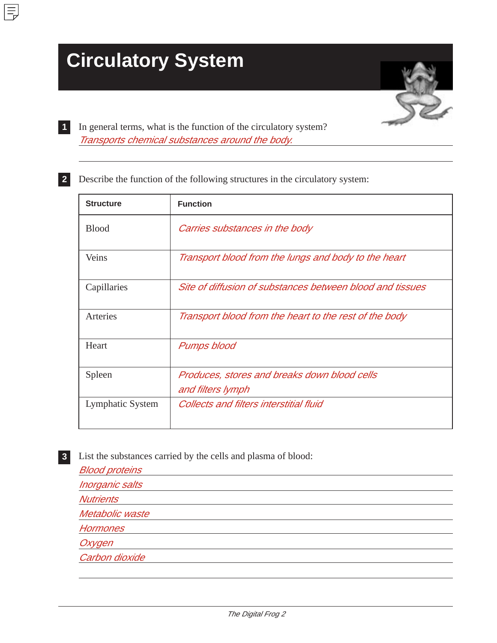# **Circulatory System**

**1**

 $\equiv$ 

**2**



In general terms, what is the function of the circulatory system? Transports chemical substances around the body.

Describe the function of the following structures in the circulatory system:

| <b>Structure</b> | <b>Function</b>                                                   |
|------------------|-------------------------------------------------------------------|
| <b>Blood</b>     | Carries substances in the body                                    |
| Veins            | Transport blood from the lungs and body to the heart              |
| Capillaries      | Site of diffusion of substances between blood and tissues         |
| Arteries         | Transport blood from the heart to the rest of the body            |
| Heart            | Pumps blood                                                       |
| Spleen           | Produces, stores and breaks down blood cells<br>and filters lymph |
| Lymphatic System | <b>Collects and filters interstitial fluid</b>                    |

List the substances carried by the cells and plasma of blood: **3**

Blood proteins Inorganic salts **Nutrients** Metabolic waste **Hormones Oxygen** Carbon dioxide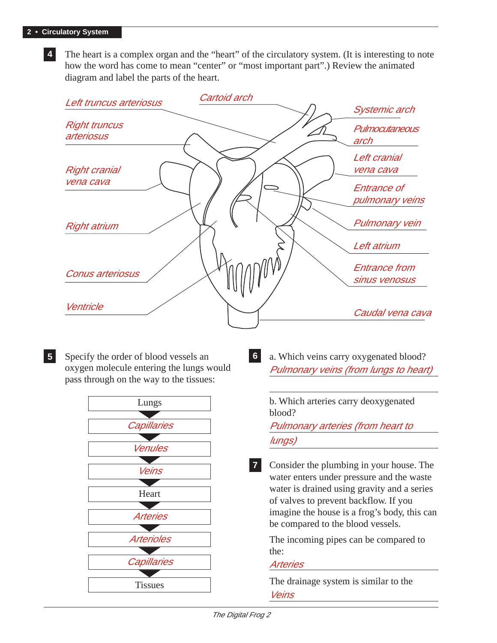**4** The heart is a complex organ and the "heart" of the circulatory system. (It is interesting to note how the word has come to mean "center" or "most important part".) Review the animated diagram and label the parts of the heart.



Specify the order of blood vessels an oxygen molecule entering the lungs would pass through on the way to the tissues: **5** Specify the order of blood vessels an **6** a. Which veins carry oxygenated blood?



Pulmonary veins (from lungs to heart) **6**

> b. Which arteries carry deoxygenated blood?

Pulmonary arteries (from heart to lungs)

Consider the plumbing in your house. The water enters under pressure and the waste water is drained using gravity and a series of valves to prevent backflow. If you imagine the house is a frog's body, this can be compared to the blood vessels. **7**

The incoming pipes can be compared to the:

#### Arteries

The drainage system is similar to the Veins